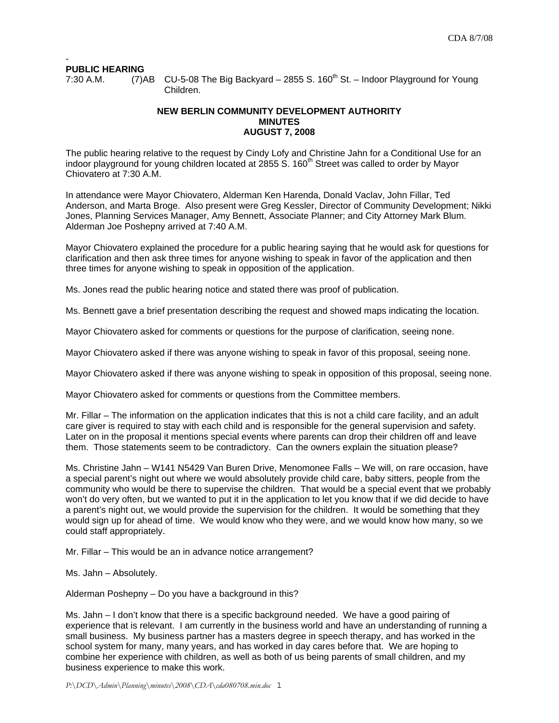#### - **PUBLIC HEARING**

7:30 A.M.  $(7)$ AB CU-5-08 The Big Backyard – 2855 S. 160<sup>th</sup> St. – Indoor Playground for Young Children.

# **NEW BERLIN COMMUNITY DEVELOPMENT AUTHORITY MINUTES AUGUST 7, 2008**

The public hearing relative to the request by Cindy Lofy and Christine Jahn for a Conditional Use for an indoor playground for young children located at 2855 S. 160<sup>th</sup> Street was called to order by Mayor Chiovatero at 7:30 A.M.

In attendance were Mayor Chiovatero, Alderman Ken Harenda, Donald Vaclav, John Fillar, Ted Anderson, and Marta Broge. Also present were Greg Kessler, Director of Community Development; Nikki Jones, Planning Services Manager, Amy Bennett, Associate Planner; and City Attorney Mark Blum. Alderman Joe Poshepny arrived at 7:40 A.M.

Mayor Chiovatero explained the procedure for a public hearing saying that he would ask for questions for clarification and then ask three times for anyone wishing to speak in favor of the application and then three times for anyone wishing to speak in opposition of the application.

Ms. Jones read the public hearing notice and stated there was proof of publication.

Ms. Bennett gave a brief presentation describing the request and showed maps indicating the location.

Mayor Chiovatero asked for comments or questions for the purpose of clarification, seeing none.

Mayor Chiovatero asked if there was anyone wishing to speak in favor of this proposal, seeing none.

Mayor Chiovatero asked if there was anyone wishing to speak in opposition of this proposal, seeing none.

Mayor Chiovatero asked for comments or questions from the Committee members.

Mr. Fillar – The information on the application indicates that this is not a child care facility, and an adult care giver is required to stay with each child and is responsible for the general supervision and safety. Later on in the proposal it mentions special events where parents can drop their children off and leave them. Those statements seem to be contradictory. Can the owners explain the situation please?

Ms. Christine Jahn – W141 N5429 Van Buren Drive, Menomonee Falls – We will, on rare occasion, have a special parent's night out where we would absolutely provide child care, baby sitters, people from the community who would be there to supervise the children. That would be a special event that we probably won't do very often, but we wanted to put it in the application to let you know that if we did decide to have a parent's night out, we would provide the supervision for the children. It would be something that they would sign up for ahead of time. We would know who they were, and we would know how many, so we could staff appropriately.

Mr. Fillar – This would be an in advance notice arrangement?

Ms. Jahn – Absolutely.

Alderman Poshepny – Do you have a background in this?

Ms. Jahn – I don't know that there is a specific background needed. We have a good pairing of experience that is relevant. I am currently in the business world and have an understanding of running a small business. My business partner has a masters degree in speech therapy, and has worked in the school system for many, many years, and has worked in day cares before that. We are hoping to combine her experience with children, as well as both of us being parents of small children, and my business experience to make this work.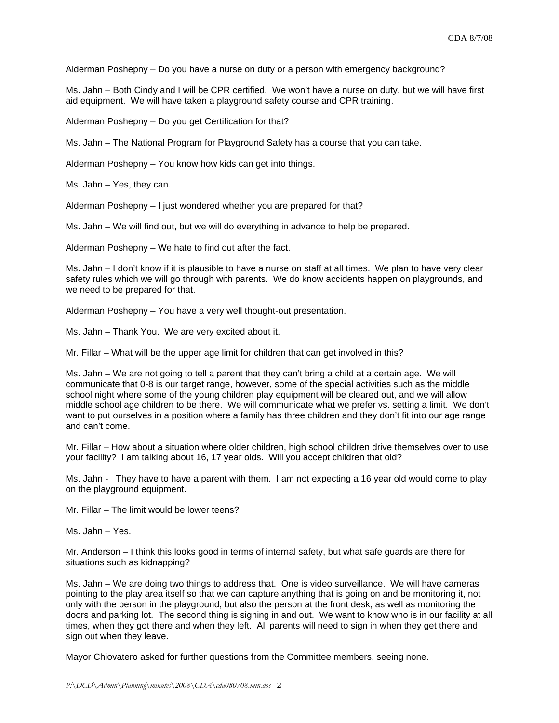Alderman Poshepny – Do you have a nurse on duty or a person with emergency background?

Ms. Jahn – Both Cindy and I will be CPR certified. We won't have a nurse on duty, but we will have first aid equipment. We will have taken a playground safety course and CPR training.

Alderman Poshepny – Do you get Certification for that?

Ms. Jahn – The National Program for Playground Safety has a course that you can take.

Alderman Poshepny – You know how kids can get into things.

Ms. Jahn – Yes, they can.

Alderman Poshepny – I just wondered whether you are prepared for that?

Ms. Jahn – We will find out, but we will do everything in advance to help be prepared.

Alderman Poshepny – We hate to find out after the fact.

Ms. Jahn – I don't know if it is plausible to have a nurse on staff at all times. We plan to have very clear safety rules which we will go through with parents. We do know accidents happen on playgrounds, and we need to be prepared for that.

Alderman Poshepny – You have a very well thought-out presentation.

Ms. Jahn – Thank You. We are very excited about it.

Mr. Fillar – What will be the upper age limit for children that can get involved in this?

Ms. Jahn – We are not going to tell a parent that they can't bring a child at a certain age. We will communicate that 0-8 is our target range, however, some of the special activities such as the middle school night where some of the young children play equipment will be cleared out, and we will allow middle school age children to be there. We will communicate what we prefer vs. setting a limit. We don't want to put ourselves in a position where a family has three children and they don't fit into our age range and can't come.

Mr. Fillar – How about a situation where older children, high school children drive themselves over to use your facility? I am talking about 16, 17 year olds. Will you accept children that old?

Ms. Jahn - They have to have a parent with them. I am not expecting a 16 year old would come to play on the playground equipment.

Mr. Fillar – The limit would be lower teens?

Ms. Jahn – Yes.

Mr. Anderson – I think this looks good in terms of internal safety, but what safe guards are there for situations such as kidnapping?

Ms. Jahn – We are doing two things to address that. One is video surveillance. We will have cameras pointing to the play area itself so that we can capture anything that is going on and be monitoring it, not only with the person in the playground, but also the person at the front desk, as well as monitoring the doors and parking lot. The second thing is signing in and out. We want to know who is in our facility at all times, when they got there and when they left. All parents will need to sign in when they get there and sign out when they leave.

Mayor Chiovatero asked for further questions from the Committee members, seeing none.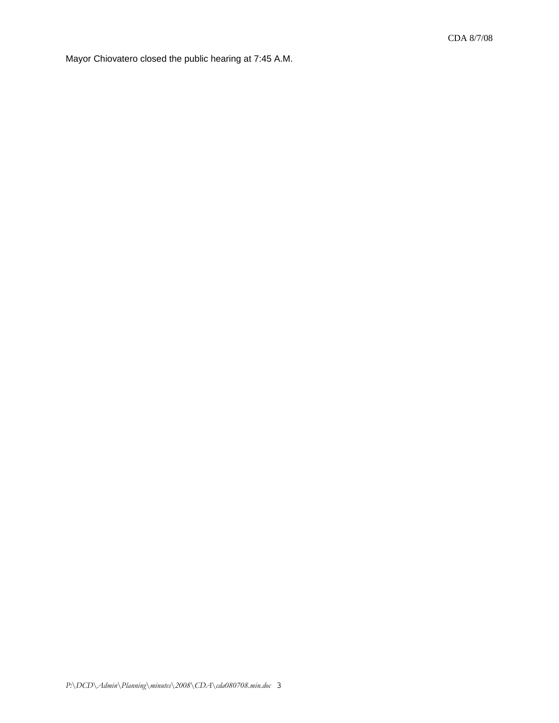Mayor Chiovatero closed the public hearing at 7:45 A.M.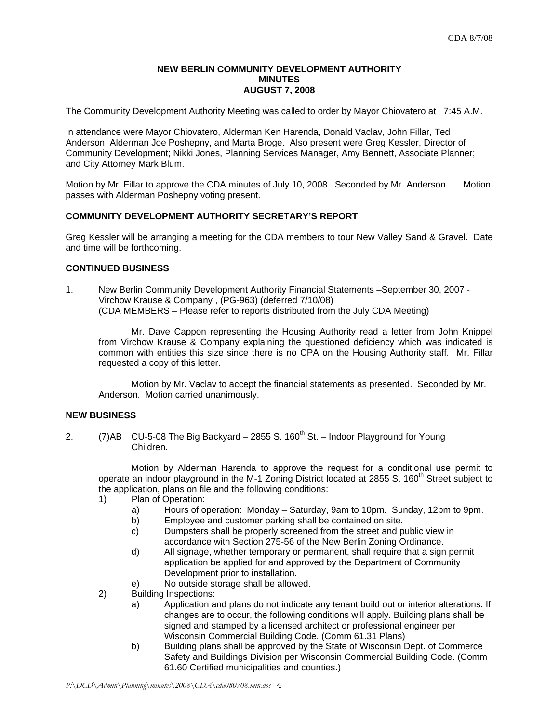### **NEW BERLIN COMMUNITY DEVELOPMENT AUTHORITY MINUTES AUGUST 7, 2008**

The Community Development Authority Meeting was called to order by Mayor Chiovatero at 7:45 A.M.

In attendance were Mayor Chiovatero, Alderman Ken Harenda, Donald Vaclav, John Fillar, Ted Anderson, Alderman Joe Poshepny, and Marta Broge. Also present were Greg Kessler, Director of Community Development; Nikki Jones, Planning Services Manager, Amy Bennett, Associate Planner; and City Attorney Mark Blum.

Motion by Mr. Fillar to approve the CDA minutes of July 10, 2008. Seconded by Mr. Anderson. Motion passes with Alderman Poshepny voting present.

# **COMMUNITY DEVELOPMENT AUTHORITY SECRETARY'S REPORT**

Greg Kessler will be arranging a meeting for the CDA members to tour New Valley Sand & Gravel. Date and time will be forthcoming.

# **CONTINUED BUSINESS**

1. New Berlin Community Development Authority Financial Statements –September 30, 2007 - Virchow Krause & Company , (PG-963) (deferred 7/10/08) (CDA MEMBERS – Please refer to reports distributed from the July CDA Meeting)

Mr. Dave Cappon representing the Housing Authority read a letter from John Knippel from Virchow Krause & Company explaining the questioned deficiency which was indicated is common with entities this size since there is no CPA on the Housing Authority staff. Mr. Fillar requested a copy of this letter.

Motion by Mr. Vaclav to accept the financial statements as presented. Seconded by Mr. Anderson. Motion carried unanimously.

### **NEW BUSINESS**

2.  $(7)$ AB CU-5-08 The Big Backyard – 2855 S. 160<sup>th</sup> St. – Indoor Playground for Young Children.

 Motion by Alderman Harenda to approve the request for a conditional use permit to operate an indoor playground in the M-1 Zoning District located at 2855 S. 160<sup>th</sup> Street subject to the application, plans on file and the following conditions:

- 1) Plan of Operation:
	- a) Hours of operation: Monday Saturday, 9am to 10pm. Sunday, 12pm to 9pm.
	- b) Employee and customer parking shall be contained on site.
	- c) Dumpsters shall be properly screened from the street and public view in accordance with Section 275-56 of the New Berlin Zoning Ordinance.
	- d) All signage, whether temporary or permanent, shall require that a sign permit application be applied for and approved by the Department of Community Development prior to installation.
	- e) No outside storage shall be allowed.
- 2) Building Inspections:
	- a) Application and plans do not indicate any tenant build out or interior alterations. If changes are to occur, the following conditions will apply. Building plans shall be signed and stamped by a licensed architect or professional engineer per Wisconsin Commercial Building Code. (Comm 61.31 Plans)
	- b) Building plans shall be approved by the State of Wisconsin Dept. of Commerce Safety and Buildings Division per Wisconsin Commercial Building Code. (Comm 61.60 Certified municipalities and counties.)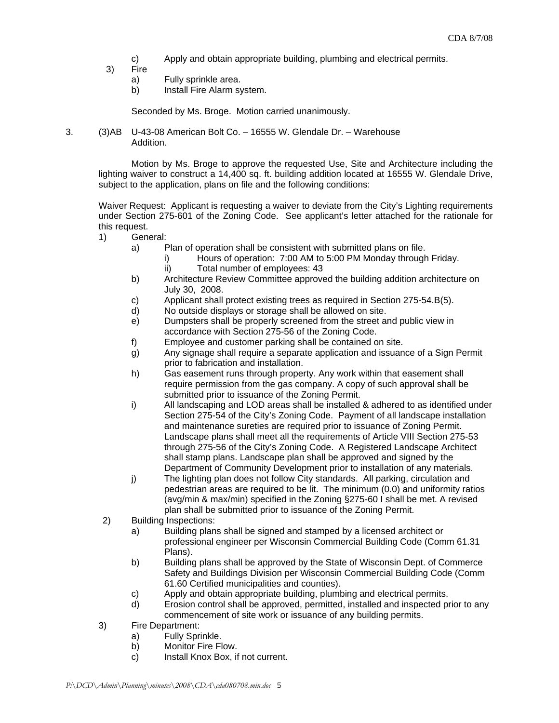- c) Apply and obtain appropriate building, plumbing and electrical permits.
- 3) Fire
	- a) Fully sprinkle area.
	- b) Install Fire Alarm system.

Seconded by Ms. Broge. Motion carried unanimously.

3. (3)AB U-43-08 American Bolt Co. – 16555 W. Glendale Dr. – Warehouse Addition.

> Motion by Ms. Broge to approve the requested Use, Site and Architecture including the lighting waiver to construct a 14,400 sq. ft. building addition located at 16555 W. Glendale Drive, subject to the application, plans on file and the following conditions:

> Waiver Request: Applicant is requesting a waiver to deviate from the City's Lighting requirements under Section 275-601 of the Zoning Code. See applicant's letter attached for the rationale for this request.

- 1) General:
	- a) Plan of operation shall be consistent with submitted plans on file.
		- i) Hours of operation: 7:00 AM to 5:00 PM Monday through Friday.
		- ii) Total number of employees: 43
	- b) Architecture Review Committee approved the building addition architecture on July 30, 2008.
	- c) Applicant shall protect existing trees as required in Section 275-54.B(5).
	- d) No outside displays or storage shall be allowed on site.
	- e) Dumpsters shall be properly screened from the street and public view in accordance with Section 275-56 of the Zoning Code.
	- f) Employee and customer parking shall be contained on site.
	- g) Any signage shall require a separate application and issuance of a Sign Permit prior to fabrication and installation.
	- h) Gas easement runs through property. Any work within that easement shall require permission from the gas company. A copy of such approval shall be submitted prior to issuance of the Zoning Permit.
	- i) All landscaping and LOD areas shall be installed & adhered to as identified under Section 275-54 of the City's Zoning Code. Payment of all landscape installation and maintenance sureties are required prior to issuance of Zoning Permit. Landscape plans shall meet all the requirements of Article VIII Section 275-53 through 275-56 of the City's Zoning Code. A Registered Landscape Architect shall stamp plans. Landscape plan shall be approved and signed by the Department of Community Development prior to installation of any materials.
	- j) The lighting plan does not follow City standards. All parking, circulation and pedestrian areas are required to be lit. The minimum (0.0) and uniformity ratios (avg/min & max/min) specified in the Zoning §275-60 I shall be met. A revised plan shall be submitted prior to issuance of the Zoning Permit.
- 2) Building Inspections:
	- a) Building plans shall be signed and stamped by a licensed architect or professional engineer per Wisconsin Commercial Building Code (Comm 61.31 Plans).
	- b) Building plans shall be approved by the State of Wisconsin Dept. of Commerce Safety and Buildings Division per Wisconsin Commercial Building Code (Comm 61.60 Certified municipalities and counties).
	- c) Apply and obtain appropriate building, plumbing and electrical permits.
	- d) Erosion control shall be approved, permitted, installed and inspected prior to any commencement of site work or issuance of any building permits.
- 3) Fire Department:
	- a) Fully Sprinkle.
	- b) Monitor Fire Flow.
	- c) Install Knox Box, if not current.